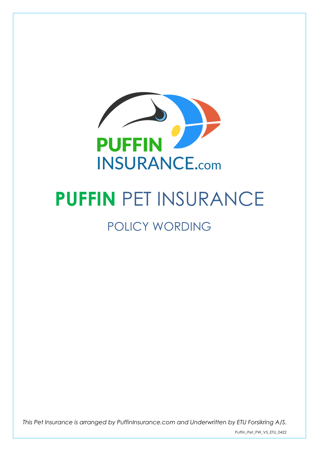

# **PUFFIN** PET INSURANCE

# POLICY WORDING

*This Pet Insurance is arranged by PuffinInsurance.com and Underwritten by ETU Forsikring A/S.*

Puffin\_Pet\_PW\_V5\_ETU\_0422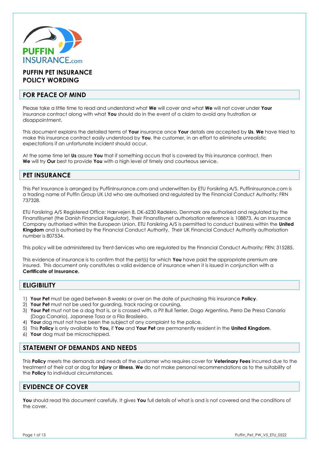

# **PUFFIN PET INSURANCE POLICY WORDING**

# **FOR PEACE OF MIND**

Please take a little time to read and understand what **We** will cover and what **We** will not cover under **Your**  insurance contract along with what **You** should do in the event of a claim to avoid any frustration or disappointment.

This document explains the detailed terms of **Your** insurance once **Your** details are accepted by **Us**. **We** have tried to make this insurance contract easily understood by **You**, the customer, in an effort to eliminate unrealistic expectations if an unfortunate incident should occur.

At the same time let **Us** assure **You** that if something occurs that is covered by this insurance contract, then **We** will try **Our** best to provide **You** with a high level of timely and courteous service.

# **PET INSURANCE**

This Pet Insurance is arranged by PuffinInsurance.com and underwritten by ETU Forsikring A/S. PuffinInsurance.com is a trading name of Puffin Group UK Ltd who are authorised and regulated by the Financial Conduct Authority: FRN 737328.

ETU Forsikring A/S Registered Office: Hærvejen 8, DK-6230 Rødekro, Denmark are authorised and regulated by the Finanstilsynet (the Danish Financial Regulator). Their Finanstilsynet authorisation reference is 108873. As an Insurance Company authorised within the European Union, ETU Forsikring A/S is permitted to conduct business within the **United Kingdom** and is authorised by the Financial Conduct Authority. Their UK Financial Conduct Authority authorisation number is 807534.

This policy will be administered by Trent-Services who are regulated by the Financial Conduct Authority; FRN: 315285.

This evidence of insurance is to confirm that the pet(s) for which **You** have paid the appropriate premium are insured. This document only constitutes a valid evidence of insurance when it is issued in conjunction with a **Certificate of Insurance.**

# **ELIGIBILITY**

- 1) **Your Pet** must be aged between 8 weeks or over on the date of purchasing this insurance **Policy**.
- 2) **Your Pet** must not be used for guarding, track racing or coursing.
- 3) **Your Pet** must not be a dog that is, or is crossed with, a Pit Bull Terrier, Dogo Argentino, Perro De Presa Canario (Dogo Canario), Japanese Tosa or a Fila Brasileiro.
- 4) **Your** dog must not have been the subject of any complaint to the police.
- 5) This **Policy** is only available to **You,** if **You** and **Your Pet** are permanently resident in the **United Kingdom**.
- 6) **Your** dog must be microchipped.

# **STATEMENT OF DEMANDS AND NEEDS**

This **Policy** meets the demands and needs of the customer who requires cover for **Veterinary Fees** incurred due to the treatment of their cat or dog for **Injury** or **Illness**. **We** do not make personal recommendations as to the suitability of the **Policy** to individual circumstances.

# **EVIDENCE OF COVER**

**You** should read this document carefully. It gives **You** full details of what is and is not covered and the conditions of the cover.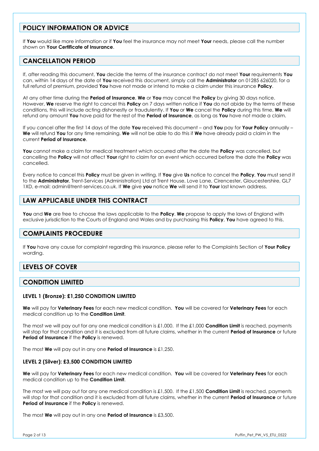# **POLICY INFORMATION OR ADVICE**

If **You** would like more information or if **You** feel the insurance may not meet **Your** needs, please call the number shown on **Your Certificate of Insurance**.

# **CANCELLATION PERIOD**

If, after reading this document, **You** decide the terms of the insurance contract do not meet **Your** requirements **You** can, within 14 days of the date of **You** received this document, simply call the **Administrator** on 01285 626020, for a full refund of premium, provided **You** have not made or intend to make a claim under this insurance **Policy**.

At any other time during the **Period of Insurance**, **We** or **You** may cancel the **Policy** by giving 30 days notice. However, **We** reserve the right to cancel this **Policy** on 7 days written notice if **You** do not abide by the terms of these conditions, this will include acting dishonestly or fraudulently. If **You** or **We** cancel the **Policy** during this time, **We** will refund any amount **You** have paid for the rest of the **Period of Insurance**, as long as **You** have not made a claim.

If you cancel after the first 14 days of the date **You** received this document – and **You** pay for **Your Policy** annually – **We** will refund **You** for any time remaining. **We** will not be able to do this if **We** have already paid a claim in the current **Period of Insurance**.

**You** cannot make a claim for medical treatment which occurred after the date the **Policy** was cancelled, but cancelling the **Policy** will not affect **Your** right to claim for an event which occurred before the date the **Policy** was cancelled.

Every notice to cancel this **Policy** must be given in writing. If **You** give **Us** notice to cancel the **Policy**, **You** must send it to the **Administrator**, Trent-Services (Administration) Ltd at Trent House, Love Lane, Cirencester, Gloucestershire, GL7 1XD, e-mail: admin@trent-services.co.uk. If **We** give **you** notice **We** will send it to **Your** last known address.

# **LAW APPLICABLE UNDER THIS CONTRACT**

**You** and **We** are free to choose the laws applicable to the **Policy**. **We** propose to apply the laws of England with exclusive jurisdiction to the Courts of England and Wales and by purchasing this **Policy**, **You** have agreed to this.

# **COMPLAINTS PROCEDURE**

If **You** have any cause for complaint regarding this insurance, please refer to the Complaints Section of **Your Policy** wording.

# **LEVELS OF COVER**

# **CONDITION LIMITED**

#### **LEVEL 1 (Bronze): £1,250 CONDITION LIMITED**

**We** will pay for **Veterinary Fees** for each new medical condition. **You** will be covered for **Veterinary Fees** for each medical condition up to the **Condition Limit**.

The most we will pay out for any one medical condition is £1,000. If the £1,000 **Condition Limit** is reached, payments will stop for that condition and it is excluded from all future claims, whether in the current **Period of Insurance** or future **Period of Insurance** if the **Policy** is renewed.

The most **We** will pay out in any one **Period of Insurance** is £1,250.

#### **LEVEL 2 (Silver): £3,500 CONDITION LIMITED**

**We** will pay for **Veterinary Fees** for each new medical condition. **You** will be covered for **Veterinary Fees** for each medical condition up to the **Condition Limit**.

The most we will pay out for any one medical condition is £1,500. If the £1,500 **Condition Limit** is reached, payments will stop for that condition and it is excluded from all future claims, whether in the current **Period of Insurance** or future **Period of Insurance** if the **Policy** is renewed.

The most **We** will pay out in any one **Period of Insurance** is £3,500.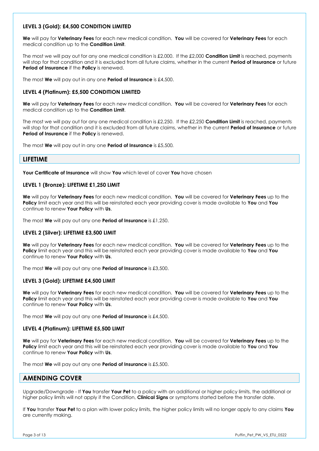#### **LEVEL 3 (Gold): £4,500 CONDITION LIMITED**

**We** will pay for **Veterinary Fees** for each new medical condition. **You** will be covered for **Veterinary Fees** for each medical condition up to the **Condition Limit**.

The most we will pay out for any one medical condition is £2,000. If the £2,000 **Condition Limit** is reached, payments will stop for that condition and it is excluded from all future claims, whether in the current **Period of Insurance** or future **Period of Insurance** if the **Policy** is renewed.

The most **We** will pay out in any one **Period of Insurance** is £4,500.

#### **LEVEL 4 (Platinum): £5,500 CONDITION LIMITED**

**We** will pay for **Veterinary Fees** for each new medical condition. **You** will be covered for **Veterinary Fees** for each medical condition up to the **Condition Limit**.

The most we will pay out for any one medical condition is £2,250. If the £2,250 **Condition Limit** is reached, payments will stop for that condition and it is excluded from all future claims, whether in the current **Period of Insurance** or future **Period of Insurance** if the **Policy** is renewed.

The most **We** will pay out in any one **Period of Insurance** is £5,500*.*

# **LIFETIME**

**Your Certificate of Insurance** will show **You** which level of cover **You** have chosen

#### **LEVEL 1 (Bronze): LIFETIME £1,250 LIMIT**

**We** will pay for **Veterinary Fees** for each new medical condition. **You** will be covered for **Veterinary Fees** up to the **Policy** limit each year and this will be reinstated each year providing cover is made available to **You** and **You** continue to renew **Your Policy** with **Us**.

The most **We** will pay out any one **Period of Insurance** is £1,250.

#### **LEVEL 2 (Silver): LIFETIME £3,500 LIMIT**

**We** will pay for **Veterinary Fees** for each new medical condition. **You** will be covered for **Veterinary Fees** up to the **Policy** limit each year and this will be reinstated each year providing cover is made available to **You** and **You** continue to renew **Your Policy** with **Us**.

The most **We** will pay out any one **Period of Insurance** is £3,500.

#### **LEVEL 3 (Gold): LIFETIME £4,500 LIMIT**

**We** will pay for **Veterinary Fees** for each new medical condition. **You** will be covered for **Veterinary Fees** up to the **Policy** limit each year and this will be reinstated each year providing cover is made available to **You** and **You** continue to renew **Your Policy** with **Us**.

The most **We** will pay out any one **Period of Insurance** is £4,500.

#### **LEVEL 4 (Platinum): LIFETIME £5,500 LIMIT**

**We** will pay for **Veterinary Fees** for each new medical condition. **You** will be covered for **Veterinary Fees** up to the **Policy** limit each year and this will be reinstated each year providing cover is made available to **You** and **You** continue to renew **Your Policy** with **Us**.

The most **We** will pay out any one **Period of Insurance** is £5,500.

# **AMENDING COVER**

Upgrade/Downgrade - If **You** transfer **Your Pet** to a policy with an additional or higher policy limits, the additional or higher policy limits will not apply if the Condition, **Clinical Signs** or symptoms started before the transfer date.

If **You** transfer **Your Pet** to a plan with lower policy limits, the higher policy limits will no longer apply to any claims **You** are currently making.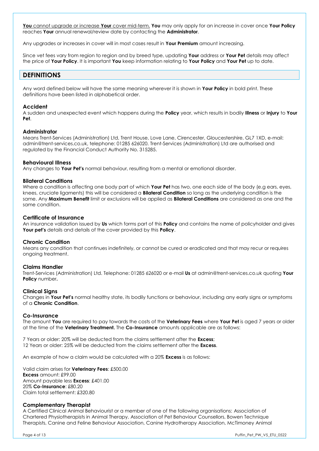**You** cannot upgrade or increase **Your** cover mid-term. **You** may only apply for an increase in cover once **Your Policy** reaches **Your** annual renewal/review date by contacting the **Administrator**.

Any upgrades or increases in cover will in most cases result in **Your Premium** amount increasing.

Since vet fees vary from region to region and by breed type, updating **Your** address or **Your Pet** details may affect the price of **Your Policy**. It is important **You** keep information relating to **Your Policy** and **Your Pet** up to date.

# **DEFINITIONS**

Any word defined below will have the same meaning wherever it is shown in **Your Policy** in bold print. These definitions have been listed in alphabetical order.

#### **Accident**

A sudden and unexpected event which happens during the **Policy** year, which results in bodily **Illness** or **Injury** to **Your Pet**.

#### **Administrator**

Means Trent-Services (Administration) Ltd, Trent House, Love Lane, Cirencester, Gloucestershire, GL7 1XD, e-mail: admin@trent-services.co.uk, telephone: 01285 626020. Trent-Services (Administration) Ltd are authorised and regulated by the Financial Conduct Authority No. 315285.

#### **Behavioural Illness**

Any changes to **Your Pet's** normal behaviour, resulting from a mental or emotional disorder.

#### **Bilateral Conditions**

Where a condition is affecting one body part of which **Your Pet** has two, one each side of the body (e.g ears, eyes, knees, cruciate ligaments) this will be considered a **Bilateral Condition** so long as the underlying condition is the same. Any **Maximum Benefit** limit or exclusions will be applied as **Bilateral Conditions** are considered as one and the same condition.

#### **Certificate of Insurance**

An insurance validation issued by **Us** which forms part of this **Policy** and contains the name of policyholder and gives **Your pet's** details and details of the cover provided by this **Policy**.

#### **Chronic Condition**

Means any condition that continues indefinitely, or cannot be cured or eradicated and that may recur or requires ongoing treatment.

#### **Claims Handler**

Trent-Services (Administration) Ltd. Telephone: 01285 626020 or e-mail **Us** at admin@trent-services.co.uk quoting **Your Policy** number**.** 

#### **Clinical Signs**

Changes in **Your Pet's** normal healthy state, its bodily functions or behaviour, including any early signs or symptoms of a **Chronic Condition**.

#### **Co-Insurance**

The amount **You** are required to pay towards the costs of the **Veterinary Fees** where **Your Pet** is aged 7 years or older at the time of the **Veterinary Treatment.** The **Co-Insurance** amounts applicable are as follows:

7 Years or older: 20% will be deducted from the claims settlement after the **Excess**; 12 Years or older: 25% will be deducted from the claims settlement after the **Excess**.

An example of how a claim would be calculated with a 20% **Excess** is as follows:

Valid claim arises for **Veterinary Fees**: £500.00 **Excess** amount: £99.00 Amount payable less **Excess**: £401.00 20% **Co-Insurance**: £80.20 Claim total settlement: £320.80

#### **Complementary Therapist**

A Certified Clinical Animal Behaviourist or a member of one of the following organisations: Association of Chartered Physiotherapists in Animal Therapy, Association of Pet Behaviour Counsellors, Bowen Technique Therapists, Canine and Feline Behaviour Association, Canine Hydrotherapy Association, McTimoney Animal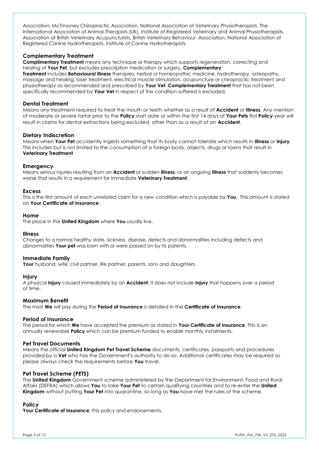Association, McTimoney Chiropractic Association, National Association of Veterinary Physiotherapists, The International Association of Animal Therapists (UK), Institute of Registered Veterinary and Animal Physiotherapists, Association of British Veterinary Acupuncturists, British Veterinary Behaviour Association, National Association of Registered Canine Hydrotherapists, Institute of Canine Hydrotherapists.

#### **Complementary Treatment**

**Complimentary Treatment** means any technique or therapy which supports regeneration, correcting and healing of **Your Pet**, but excludes prescription medication or surgery. **Complementary** 

**Treatment** includes **Behavioural Illness** therapies, herbal or homeopathic medicine, hydrotherapy, osteopathy, massage and healing, laser treatment, electrical muscle stimulation, acupuncture or chiropractic treatment and physiotherapy as recommended and prescribed by **Your Vet**. **Complementary Treatment** that has not been specifically recommended by **Your Vet** in respect of the condition suffered is excluded.

#### **Dental Treatment**

Means any treatment required to treat the mouth or teeth whether as a result of **Accident** or **Illness**. Any mention of moderate or severe tartar prior to the **Policy** start date or within the first 14 days of **Your Pets** first **Policy** year will result in claims for dental extractions being excluded, other than as a result of an **Accident**.

#### **Dietary Indiscretion**

Means when **Your Pet** accidently ingests something that its body cannot tolerate which results in **Illness** or **Injury**. This includes but is not limited to the consumption of a foreign body, objects, drugs or toxins that result in **Veterinary Treatment**.

#### **Emergency**

Means serious injuries resulting from an **Accident** or sudden **Illness**, or an ongoing **Illness** that suddenly becomes worse that results in a requirement for immediate **Veterinary Treatment**.

#### **Excess**

This is the first amount of each unrelated claim for a new condition which is payable by **You**. This amount is stated on **Your Certificate of Insurance**.

#### **Home**

The place in the **United Kingdom** where **You** usually live.

#### **Illness**

Changes to a normal healthy state, sickness, disease, defects and abnormalities including defects and abnormalities **Your pet** was born with or were passed on by its parents.

#### **Immediate Family**

Your husband, wife, civil partner, life partner, parents, sons and daughters.

#### **Injury**

A physical **Injury** caused immediately by an **Accident**. It does not include **Injury** that happens over a period of time.

#### **Maximum Benefit**

The most **We** will pay during the **Period of Insurance** is detailed in the **Certificate of Insurance**.

#### **Period of Insurance**

The period for which **We** have accepted the premium as stated in **Your Certificate of Insurance**. This is an annually renewable **Policy** which can be premium funded to enable monthly instalments.

#### **Pet Travel Documents**

Means the official **United Kingdom Pet Travel Scheme** documents, certificates, passports and procedures provided by a **Vet** who has the Government's authority to do so. Additional certificates may be required so please always check the requirements before **You** travel.

#### **Pet Travel Scheme (PETS)**

The **United Kingdom** Government scheme administered by the Department for Environment, Food and Rural Affairs (DEFRA) which allows **You** to take **Your Pet** to certain qualifying countries and to re-enter the **United Kingdom** without putting **Your Pet** into quarantine, so long as **You** have met the rules of the scheme.

#### **Policy**

**Your Certificate of Insurance**, this policy and endorsements.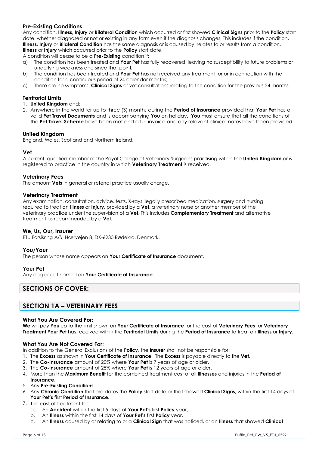#### **Pre-Existing Conditions**

Any condition, **Illness, Injury** or **Bilateral Condition** which occurred or first showed **Clinical Signs** prior to the **Policy** start date, whether diagnosed or not or existing in any form even if the diagnosis changes. This includes if the condition, **Illness, Injury** or **Bilateral Condition** has the same diagnosis or is caused by, relates to or results from a condition, **Illness** or **Injury** which occurred prior to the **Policy** start date.

A condition will cease to be a **Pre-Existing** condition if:

- a) The condition has been treated and **Your Pet** has fully recovered, leaving no susceptibility to future problems or underlying weakness and since that point;
- b) The condition has been treated and **Your Pet** has not received any treatment for or in connection with the condition for a continuous period of 24 calendar months;
- c) There are no symptoms, **Clinical Signs** or vet consultations relating to the condition for the previous 24 months.

#### **Territorial Limits**

- 1. **United Kingdom** and:
- 2. Anywhere in the world for up to three (3) months during the **Period of Insurance** provided that **Your Pet** has a valid **Pet Travel Documents** and is accompanying **You** on holiday. **You** must ensure that all the conditions of the **Pet Travel Scheme** have been met and a full invoice and any relevant clinical notes have been provided.

#### **United Kingdom**

England, Wales, Scotland and Northern Ireland.

#### **Vet**

A current, qualified member of the Royal College of Veterinary Surgeons practising within the **United Kingdom** or is registered to practice in the country in which **Veterinary Treatment** is received.

#### **Veterinary Fees**

The amount **Vets** in general or referral practice usually charge.

#### **Veterinary Treatment**

Any examination, consultation, advice, tests, X-rays, legally prescribed medication, surgery and nursing required to treat an **Illness** or **Injury**, provided by a **Vet**, a veterinary nurse or another member of the veterinary practice under the supervision of a **Vet**. This includes **Complementary Treatment** and alternative treatment as recommended by a **Vet**.

#### **We, Us, Our, Insurer**

ETU Forsikring A/S, Hærvejen 8, DK-6230 Rødekro, Denmark.

#### **You/Your**

The person whose name appears on **Your Certificate of Insurance** document.

#### **Your Pet**

Any dog or cat named on **Your Certificate of Insurance**.

# **SECTIONS OF COVER:**

# **SECTION 1A – VETERINARY FEES**

#### **What You Are Covered For:**

**We** will pay **You** up to the limit shown on **Your Certificate of Insurance** for the cost of **Veterinary Fees** for **Veterinary Treatment Your Pet** has received within the **Territorial Limits** during the **Period of Insurance** to treat an **Illness** or **Injury**.

#### **What You Are Not Covered For:**

In addition to the General Exclusions of the **Policy**, the **Insurer** shall not be responsible for:

- 1. The **Excess** as shown in **Your Certificate of Insurance**. The **Excess** is payable directly to the **Vet**.
- 2. The **Co-Insurance** amount of 20% where **Your Pet** is 7 years of age or older.
- 3. The **Co-Insurance** amount of 25% where **Your Pet** is 12 years of age or older.
- 4. More than the **Maximum Benefit** for the combined treatment cost of all **Illnesses** and injuries in the **Period of Insurance**.
- 5. Any **Pre-Existing Conditions.**
- 6. Any **Chronic Condition** that pre dates the **Policy** start date or that showed **Clinical Signs**, within the first 14 days of **Your Pet's** first **Period of Insurance.**
- 7. The cost of treatment for:
	- a. An **Accident** within the first 5 days of **Your Pet's** first **Policy** year,
	- b. An **Illness** within the first 14 days of **Your Pet's** first **Policy** year,
	- c. An **Illness** caused by or relating to or a **Clinical Sign** that was noticed, or an **Illness** that showed **Clinical**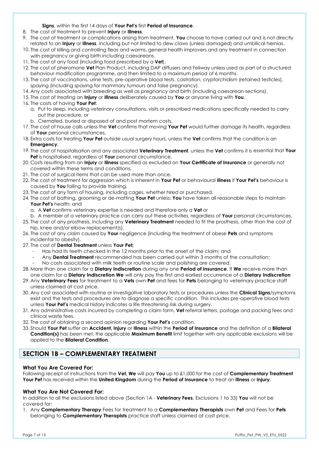**Signs**, within the first 14 days of **Your Pet's** first **Period of Insurance**.

- 8. The cost of treatment to prevent **Injury** or **Illness**.
- 9. The cost of treatment or complications arising from treatment, **You** choose to have carried out and is not directly related to an **Injury** or **Illness**, including but not limited to dew claws (unless damaged) and umbilical hernias.
- 10. The cost of killing and controlling fleas and worms, general health improvers and any treatment in connection with pregnancy or giving birth including caesareans.
- 11. The cost of any food (including food prescribed by a **Vet**).
- 12. The cost of pheromone **Vet** Plan Product, including DAP diffusers and Feliway unless used as part of a structured behaviour modification programme, and then limited to a maximum period of 6 months.
- 13. The cost of vaccinations, urine tests, pre-operative blood tests, castration, cryptorchidism (retained testicles), spaying (including spaying for mammary tumours and false pregnancy).
- 14. Any costs associated with breeding as well as pregnancy and birth (including caesarean sections).
- 15. The cost of treating an **Injury** or **Illness** deliberately caused by **You** or anyone living with **You**.
- 16. The costs of having **Your Pet**:
	- a. Put to sleep, including veterinary consultations, visits or prescribed medications specifically needed to carry out the procedure, or
	- b. Cremated, buried or disposed of and post mortem costs.
- 17. The cost of house calls unless the **Vet** confirms that moving **Your Pet** would further damage its health, regardless of **Your** personal circumstances.
- 18. Extra costs for treating **Your Pet** outside usual surgery hours, unless the **Vet** confirms that the condition is an **Emergency**.
- 19. The cost of hospitalisation and any associated **Veterinary Treatment**, unless the **Vet** confirms it is essential that **Your Pet** is hospitalised, regardless of **Your** personal circumstance.
- 20. Costs resulting from an **Injury** or **Illness** specified as excluded on **Your Certificate of Insurance** or generally not covered within these terms and conditions.
- 21. The cost of surgical items that can be used more than once.
- 22. The cost of treatment for aggression which is inherent in **Your Pet** or behavioural **Illness** if **Your Pet's** behaviour is caused by **You** failing to provide training.
- 23. The cost of any form of housing, including cages, whether hired or purchased.
- 24. The cost of bathing, grooming or de-matting **Your Pet** unless: **You** have taken all reasonable steps to maintain **Your Pet's** health; and
	- a. A **Vet** confirms veterinary expertise is needed and therefore only a **Vet** or
- b. A member of a veterinary practice can carry out these activities, regardless of **Your** personal circumstances.
- 25. The cost of any prosthesis, including any **Veterinary Treatment** needed to fit the prosthesis, other than the cost of hip, knee and/or elbow replacement(s).
- 26. The cost of any claim caused by **Your** negligence (including the treatment of obese **Pets** and symptoms incidental to obesity).
- 27. The cost of **Dental Treatment** unless **Your Pet;**
	- Has had its teeth checked in the 12 months prior to the onset of the claim; and
	- Any **Dental Treatment** recommended has been carried out within 3 months of the consultation;
	- No costs associated with milk teeth or routine scale and polishing are covered.
- 28. More than one claim for a **Dietary Indiscretion** during any one **Period of Insurance**. If **We** receive more than one claim for a **Dietary Indiscretion We** will only pay the first and earliest occurrence of a **Dietary Indiscretion**
- 29. Any **Veterinary Fees** for treatment to a **Vets** own **Pet** and fees for **Pets** belonging to veterinary practice staff unless claimed at cost price.
- 30. Any cost associated with routine or investigative laboratory tests or procedures unless the **Clinical Signs**/symptoms exist and the tests and procedures are to diagnose a specific condition. This includes pre-operative blood tests unless **Your Pet's** medical history indicates a life threatening risk during surgery.
- 31. Any administrative costs incurred by completing a claim form, **Vet** referral letters, postage and packing fees and clinical waste fees.
- 32. The cost of obtaining a second opinion regarding **Your Pet's** condition.
- 33. Should **Your Pet** suffer an **Accident, Injury** or **Illness** within the **Period of Insurance** and the definition of a **Bilateral Condition(s)** has been met, the applicable **Maximum Benefit** limit together with any applicable exclusions will be applied to the **Bilateral Condition**.

# **SECTION 1B – COMPLEMENTARY TREATMENT**

#### **What You Are Covered For:**

Following receipt of instructions from the **Vet, We** will pay **You** up to £1,000 for the cost of **Complementary Treatment Your Pet** has received within the **United Kingdom** during the **Period of Insurance** to treat an **Illness** or **Injury**.

#### **What You Are Not Covered For:**

In addition to all the exclusions listed above (Section 1A - **Veterinary Fees**, Exclusions 1 to 33) **You** will not be covered for:

1. Any **Complementary Therapy** Fees for treatment to a **Complementary Therapists** own **Pet** and Fees for **Pets** belonging to **Complementary Therapists** practice staff unless claimed at cost price.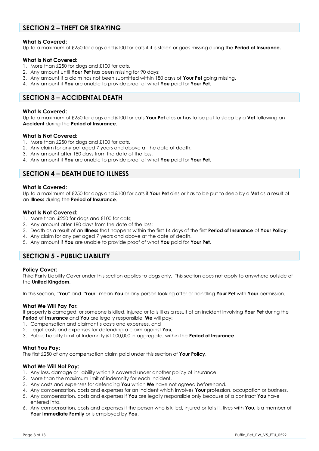# **SECTION 2 – THEFT OR STRAYING**

#### **What Is Covered:**

Up to a maximum of £250 for dogs and £100 for cats if it is stolen or goes missing during the **Period of Insurance.**

#### **What Is Not Covered:**

- 1. More than £250 for dogs and £100 for cats,
- 2. Any amount until **Your Pet** has been missing for 90 days;
- 3. Any amount if a claim has not been submitted within 180 days of **Your Pet** going missing.
- 4. Any amount if **You** are unable to provide proof of what **You** paid for **Your Pet**.

# **SECTION 3 – ACCIDENTAL DEATH**

#### **What Is Covered:**

Up to a maximum of £250 for dogs and £100 for cats **Your Pet** dies or has to be put to sleep by a **Vet** following an **Accident** during the **Period of Insurance**.

#### **What Is Not Covered:**

- 1. More than £250 for dogs and £100 for cats.
- 2. Any claim for any pet aged 7 years and above at the date of death.
- 3. Any amount after 180 days from the date of the loss.
- 4. Any amount if **You** are unable to provide proof of what **You** paid for **Your Pet**.

# **SECTION 4 – DEATH DUE TO ILLNESS**

#### **What Is Covered:**

Up to a maximum of £250 for dogs and £100 for cats if **Your Pet** dies or has to be put to sleep by a **Vet** as a result of an **Illness** during the **Period of Insurance**.

#### **What Is Not Covered:**

- 1. More than £250 for dogs and £100 for cats;
- 2. Any amount after 180 days from the date of the loss;
- 3. Death as a result of an **Illness** that happens within the first 14 days of the first **Period of Insurance** of **Your Policy**;
- 4. Any claim for any pet aged 7 years and above at the date of death.
- 5. Any amount if **You** are unable to provide proof of what **You** paid for **Your Pet**.

# **SECTION 5 - PUBLIC LIABILITY**

#### **Policy Cover:**

Third Party Liability Cover under this section applies to dogs only. This section does not apply to anywhere outside of the **United Kingdom**.

In this section, "**You**" and "**Your**" mean **You** or any person looking after or handling **Your Pet** with **Your** permission.

#### **What We Will Pay For:**

If property is damaged, or someone is killed, injured or falls ill as a result of an incident involving **Your Pet** during the **Period** of **Insurance** and **You** are legally responsible, **We** will pay:

- 1. Compensation and claimant's costs and expenses, and
- 2. Legal costs and expenses for defending a claim against **You**;
- 3. Public Liability Limit of Indemnity £1,000,000 in aggregate, within the **Period of Insurance**.

#### **What You Pay:**

The first £250 of any compensation claim paid under this section of **Your Policy**.

#### **What We Will Not Pay:**

- 1. Any loss, damage or liability which is covered under another policy of insurance.
- 2. More than the maximum limit of indemnity for each incident.
- 3. Any costs and expenses for defending **You** which **We** have not agreed beforehand.
- 4. Any compensation, costs and expenses for an incident which involves **Your** profession, occupation or business.
- 5. Any compensation, costs and expenses if **You** are legally responsible only because of a contract **You** have entered into.
- 6. Any compensation, costs and expenses if the person who is killed, injured or falls ill, lives with **You**, is a member of **Your Immediate Family** or is employed by **You**.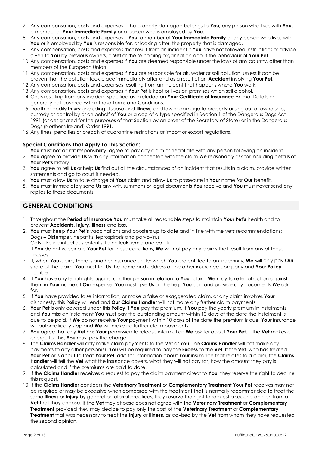- 7. Any compensation, costs and expenses if the property damaged belongs to **You**, any person who lives with **You**, a member of **Your Immediate Family** or a person who is employed by **You**.
- 8. Any compensation, costs and expenses if **You**, a member of **Your Immediate Family** or any person who lives with **You** or is employed by **You** is responsible for, or looking after, the property that is damaged.
- 9. Any compensation, costs and expenses that result from an incident if **You** have not followed instructions or advice given to **You** by previous owners, a **Vet** or the re-homing organisation about the behaviour of **Your Pet**.
- 10. Any compensation, costs and expenses if **You** are deemed responsible under the laws of any country, other than members of the European Union.
- 11. Any compensation, costs and expenses if **You** are responsible for air, water or soil pollution, unless it can be proven that the pollution took place immediately after and as a result of an **Accident** involving **Your Pet**.
- 12. Any compensation, costs and expenses resulting from an incident that happens where **You** work.
- 13. Any compensation, costs and expenses if **Your Pet** is kept or lives on premises which sell alcohol.
- 14. Costs resulting from any incident specified as excluded on **Your Certificate of Insurance** Animal Details or generally not covered within these Terms and Conditions.
- 15. Death or bodily **Injury** (including disease and **Illness**) and loss or damage to property arising out of ownership, custody or control by or on behalf of **You** or a dog of a type specified in Section 1 of the Dangerous Dogs Act 1991 (or designated for the purposes of that Section by an order of the Secretary of State) or in the Dangerous Dogs (Northern Ireland) Order 1991.
- 16. Any fines, penalties or breach of quarantine restrictions or import or export regulations.

#### **Special Conditions That Apply To This Section:**

- 1. **You** must not admit responsibility, agree to pay any claim or negotiate with any person following an incident.
- 2. **You** agree to provide **Us** with any information connected with the claim **We** reasonably ask for including details of **Your Pet's** history.
- 3. **You** agree to tell **Us** or help **Us** find out all the circumstances of an incident that results in a claim, provide written statements and go to court if needed.
- 4. **You** must allow **Us** to take charge of **Your** claim and allow **Us** to prosecute in **Your** name for **Our** benefit.
- 5. **You** must immediately send **Us** any writ, summons or legal documents **You** receive and **You** must never send any replies to these documents.

# **GENERAL CONDITIONS**

- 1. Throughout the **Period of Insurance You** must take all reasonable steps to maintain **Your Pet's** health and to prevent **Accidents**, **Injury**, **Illness** and loss.
- 2. **You** must keep **Your Pet's** vaccinations and boosters up to date and in line with the vets recommendations: Dogs – Distemper, hepatitis, leptospirosis and parvovirus Cats – Feline infectious enteritis, feline leukaemia and cat flu If **You** do not vaccinate **Your Pet** for these conditions, **We** will not pay any claims that result from any of these
- illnesses. 3. If, when **You** claim, there is another insurance under which **You** are entitled to an indemnity; **We** will only pay **Our**
- share of the claim. **You** must tell **Us** the name and address of the other insurance company and **Your Policy** number.
- 4. If **You** have any legal rights against another person in relation to **Your** claim, **We** may take legal action against them in **Your** name at **Our** expense. **You** must give **Us** all the help **You** can and provide any documents **We** ask for.
- 5. If **You** have provided false information, or make a false or exaggerated claim, or any claim involves **Your**  dishonesty, this **Policy** will end and **Our Claims Handler** will not make any further claim payments.
- 6. **Your Pet** is only covered under this **Policy** if **You** pay the premium. If **You** pay the yearly premium in instalments and **You** miss an instalment **You** must pay the outstanding amount within 10 days of the date the instalment is due to be paid. If **We** do not receive **Your** payment within 10 days of the date the premium is due, **Your** insurance will automatically stop and **We** will make no further claim payments.
- 7. **You** agree that any **Vet** has **Your** permission to release information **We** ask for about **Your Pet**. If the **Vet** makes a charge for this, **You** must pay the charge.
- 8. The **Claims Handler** will only make claim payments to the **Vet** or **You**. The **Claims Handler** will not make any payments to any other person(s). **You** will be required to pay the **Excess** to the **Vet**. If the **Vet**, who has treated **Your Pet** or is about to treat **Your Pet**, asks for information about **Your** insurance that relates to a claim, the **Claims Handler** will tell the **Vet** what the insurance covers, what they will not pay for, how the amount they pay is calculated and if the premiums are paid to date.
- 9. If the **Claims Handler** receives a request to pay the claim payment direct to **You**, they reserve the right to decline this request.
- 10. If the **Claims Handler** considers the **Veterinary Treatment** or **Complementary Treatment Your Pet** receives may not be required or may be excessive when compared with the treatment that is normally recommended to treat the same **Illness** or **Injury** by general or referral practices, they reserve the right to request a second opinion from a **Vet** that they choose. If the **Vet** they choose does not agree with the **Veterinary Treatment** or **Complementary Treatment** provided they may decide to pay only the cost of the **Veterinary Treatment** or **Complementary Treatment** that was necessary to treat the **Injury** or **Illness**, as advised by the **Vet** from whom they have requested the second opinion.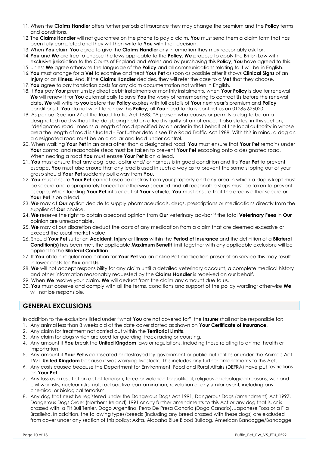- 11. When the **Claims Handler** offers further periods of insurance they may change the premium and the **Policy** terms and conditions.
- 12. The **Claims Handler** will not guarantee on the phone to pay a claim. **You** must send them a claim form that has been fully completed and they will then write to **You** with their decision.
- 13. When **You** claim **You** agree to give the **Claims Handler** any information they may reasonably ask for.
- 14. **You** and **We** are free to choose the laws applicable to the **Policy**. **We** propose to apply the British Law with exclusive jurisdiction to the Courts of England and Wales and by purchasing this **Policy**, **You** have agreed to this.
- 15. Unless **We** agree otherwise the language of the **Policy** and all communications relating to it will be in English.
- 16. **You** must arrange for a **Vet** to examine and treat **Your Pet** as soon as possible after it shows **Clinical Signs** of an **Injury** or an **Illness**. And, if the **Claims Handler** decides, they will refer the case to a **Vet** that they choose. 17. **You** agree to pay translation costs for any claim documentation not written in English.
- 18. If **You** pay **Your** premium by direct debit instalments or monthly instalments, when **Your Policy** is due for renewal **We** will renew it for **You** automatically to save **You** the worry of remembering to contact **Us** before the renewal date. **We** will write to **you** before the **Policy** expires with full details of **Your** next year's premium and **Policy**
- conditions. If **You** do not want to renew this **Policy**, all **You** need to do is contact us on 01285 626020. 19. As per pet Section 27 of the Road Traffic Act 1988: "A person who causes or permits a dog to be on a designated road without the dog being held on a lead is guilty of an offence. It also states, in this section,
- "designated road" means a length of road specified by an order in that behalf of the local authority in whose area the length of road is situated - For further details see The Road Traffic Act 1988. With this in mind, a dog on a designated road must be on a collar and lead under control.
- 20. When walking **Your Pet** in an area other than a designated road, **You** must ensure that **Your Pet** remains under **Your** control and reasonable steps must be taken to prevent **Your Pet** escaping onto a designated road. When nearing a road **You** must ensure **Your Pet** is on a lead.
- 21. **You** must ensure that any dog lead, collar and/ or harness is in good condition and fits **Your Pet** to prevent escape. **You** must also ensure that any lead is used in such a way as to prevent the same slipping out of your grasp should **Your Pet** suddenly pull away from **You**.
- 22. **You** must ensure **Your Pet** cannot escape or stray from your property and any area in which a dog is kept must be secure and appropriately fenced or otherwise secured and all reasonable steps must be taken to prevent escape. When loading **Your Pet** into or out of **Your** vehicle, **You** must ensure that the area is either secure or **Your Pet** is on a lead.
- 23. **We** may at **Our** option decide to supply pharmaceuticals, drugs, prescriptions or medications directly from the supplier of **Our** choice.
- 24. **We** reserve the right to obtain a second opinion from **Our** veterinary advisor if the total **Veterinary Fees** in **Our** opinion are unreasonable.
- 25. **We** may at our discretion deduct the costs of any medication from a claim that are deemed excessive or exceed the usual market value.
- 26. Should **Your Pet** suffer an **Accident, Injury** or **Illness** within the **Period of Insurance** and the definition of a **Bilateral Condition(s)** has been met, the applicable **Maximum Benefit** limit together with any applicable exclusions will be applied to the **Bilateral Condition**.
- 27. If **You** obtain regular medication for **Your Pet** via an online Pet medication prescription service this may result in lower costs for **You** and **Us**.
- 28. **We** will not accept responsibility for any claim until a detailed veterinary account, a complete medical history and other information reasonably requested by the **Claims Handler** is received on our behalf.
- 29. When **We** resolve your claim, **We** will deduct from the claim any amount due to us.
- 30. **You** must observe and comply with all the terms, conditions and support of the policy wording; otherwise **We** will not be responsible.

# **GENERAL EXCLUSIONS**

In addition to the exclusions listed under "what **You** are not covered for", the **Insurer** shall not be responsible for:

- 1. Any animal less than 8 weeks old at the date cover started as shown on **Your Certificate of Insurance**.
- 2. Any claim for treatment not carried out within the **Territorial Limits**.
- 3. Any claim for dogs which are used for guarding, track racing or coursing.
- 4. Any amount if **You** break the **United Kingdom** laws or regulations, including those relating to animal health or importation.
- 5. Any amount if **Your Pet** is confiscated or destroyed by government or public authorities or under the Animals Act 1971 **United Kingdom** because it was worrying livestock. This includes any further amendments to this Act.
- 6. Any costs caused because the Department for Environment, Food and Rural Affairs (DEFRA) have put restrictions on **Your Pet**.
- 7. Any loss as a result of an act of terrorism, force or violence for political, religious or ideological reasons, war and civil war risks, nuclear risks, riot, radioactive contamination, revolution or any similar event, including any chemical or biological terrorism.
- 8. Any dog that must be registered under the Dangerous Dogs Act 1991, Dangerous Dogs (amendment) Act 1997, Dangerous Dogs Order (Northern Ireland) 1991 or any further amendments to this Act or any dog that is, or is crossed with, a Pit Bull Terrier, Dogo Argentino, Perro De Presa Canario (Dogo Canario), Japanese Tosa or a Fila Brasileiro. In addition, the following types/breeds (including any breed crossed with these dogs) are excluded from cover under any section of this policy: Akita, Alapaha Blue Blood Bulldog, American Bandogge/Bandogge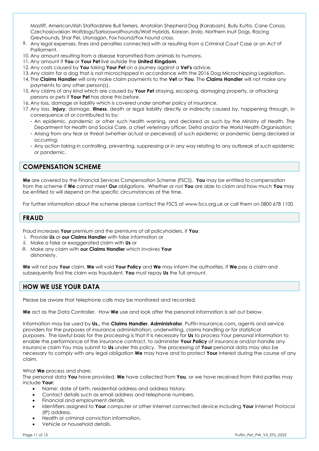Mastiff, American/Irish Staffordshire Bull Terriers, Anatolian Shepherd Dog (Karabash), Bully Kutta, Cane Corsos, Czechoslovakian Wolfdogs/Sarlooswolfhounds/Wolf Hybrids, Korean Jindo. Northern Inuit Dogs, Racing Greyhounds, Shar Pei, Utonagan, Fox hound/Fox hound cross.

- 9. Any legal expenses, fines and penalties connected with or resulting from a Criminal Court Case or an Act of Parliament.
- 10. Any amount resulting from a disease transmitted from animals to humans.
- 11. Any amount if **You** or **Your Pet** live outside the **United Kingdom**.
- 12. Any costs caused by **You** taking **Your Pet** on a journey against a **Vet's** advice.
- 13. Any claim for a dog that is not microchipped in accordance with the 2016 Dog Microchipping Legislation.
- 14. The **Claims Handler** will only make claim payments to the **Vet** or **You**. The **Claims Handler** will not make any payments to any other person(s).
- 15. Any claims of any kind which are caused by **Your Pet** straying, escaping, damaging property, or attacking persons or pets if **Your Pet** has done this before.
- 16. Any loss, damage or liability which is covered under another policy of insurance.
- 17. Any loss, **Injury**, damage, **Illness**, death or legal liability directly or indirectly caused by, happening through, in consequence of or contributed to by:
	- An epidemic, pandemic or other such health warning, and declared as such by the Ministry of Health, The Department for Health and Social Care, a chief veterinary officer, Defra and/or the World Health Organisation;
	- Arising from any fear or threat (whether actual or perceived) of such epidemic or pandemic being declared or occurring;
	- Any action taking in controlling, preventing, suppressing or in any way relating to any outbreak of such epidemic or pandemic.

# **COMPENSATION SCHEME**

**We** are covered by the Financial Services Compensation Scheme (FSCS). **You** may be entitled to compensation from the scheme if **We** cannot meet **Our** obligations. Whether or not **You** are able to claim and how much **You** may be entitled to will depend on the specific circumstances at the time.

For further information about the scheme please contact the FSCS at [www.fscs.org.uk](http://www.fscs.org.uk/) or call them on 0800 678 1100.

# **FRAUD**

Fraud increases **Your** premium and the premiums of all policyholders. If **You**:

- i. Provide **Us** or **our Claims Handler** with false information or
- ii. Make a false or exaggerated claim with **Us** or
- iii. Make any claim with **our Claims Handler** which involves **Your** dishonesty.

**We** will not pay **Your** claim, **We** will void **Your Policy** and **We** may inform the authorities. If **We** pay a claim and subsequently find the claim was fraudulent, **You** must repay **Us** the full amount.

# **HOW WE USE YOUR DATA**

Please be aware that telephone calls may be monitored and recorded.

**We** act as the Data Controller. How **We** use and look after the personal information is set out below.

Information may be used by **Us.,** the **Claims Handler**, **Administrator**, Puffin Insurance.com**,** agents and service providers for the purposes of insurance administration, underwriting, claims handling or for statistical purposes. The lawful basis for the processing is that it is necessary for **Us** to process Your personal information to enable the performance of the insurance contract, to administer **Your Policy** of insurance and/or handle any insurance claim You may submit to **Us** under this policy. The processing of **Your** personal data may also be necessary to comply with any legal obligation **We** may have and to protect **Your** interest during the course of any claim.

#### What **We** process and share:

The personal data **You** have provided, **We** have collected from **You**, or we have received from third parties may include **Your**:

- Name; date of birth, residential address and address history.
- Contact details such as email address and telephone numbers.
- Financial and employment details.
- Identifiers assigned to **Your** computer or other internet connected device including **Your** Internet Protocol (IP) address.
- Health or criminal conviction information.
- Vehicle or household details.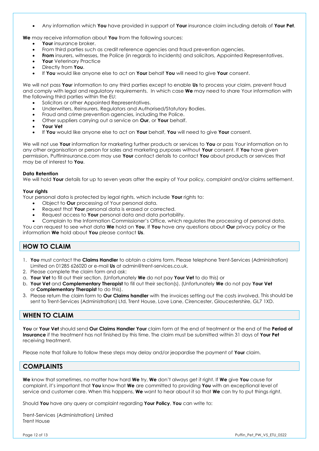Any information which **You** have provided in support of **Your** insurance claim including details of **Your Pet**.

**We** may receive information about **You** from the following sources:

- **Your** insurance broker.
- From third parties such as credit reference agencies and fraud prevention agencies.
- **From** insurers, witnesses, the Police (in regards to incidents) and solicitors, Appointed Representatives.
- **Your** Veterinary Practice
- Directly from **You**.
- If **You** would like anyone else to act on **Your** behalf **You** will need to give **Your** consent.

We will not pass **You**r information to any third parties except to enable **Us** to process your claim, prevent fraud and comply with legal and regulatory requirements. In which case **We** may need to share Your information with the following third parties within the EU:

- Solicitors or other Appointed Representatives.
- Underwriters, Reinsurers, Regulators and Authorised/Statutory Bodies.
- Fraud and crime prevention agencies, including the Police.
- Other suppliers carrying out a service on **Our**, or **Your** behalf.
- **Your Vet**
- If **You** would like anyone else to act on **Your** behalf, **You** will need to give **Your** consent.

We will not use **Your** information for marketing further products or services to **You** or pass Your information on to any other organisation or person for sales and marketing purposes without **Your** consent. If **You** have given permission, PuffinInsurance.com may use **Your** contact details to contact **You** about products or services that may be of interest to **You**.

#### **Data Retention**

We will hold **Your** details for up to seven years after the expiry of Your policy, complaint and/or claims settlement.

#### **Your rights**

Your personal data is protected by legal rights, which include **Your** rights to:

- Object to **Our** processing of Your personal data.
- Request that **Your** personal data is erased or corrected.
- Request access to **Your** personal data and data portability.
- Complain to the Information Commissioner's Office, which regulates the processing of personal data.

You can request to see what data **We** hold on **You**. If **You** have any questions about **Our** privacy policy or the information **We** hold about **You** please contact **Us**.

# **HOW TO CLAIM**

- 1. **You** must contact the **Claims Handler** to obtain a claims form. Please telephone Trent-Services (Administration) Limited on 01285 626020 or e-mail **Us** at admin@trent-services.co.uk.
- 2. Please complete the claim form and ask:
- a. **Your Vet** to fill out their section. (Unfortunately **We** do not pay **Your Vet** to do this) or
- b. **Your Vet** and **Complementary Therapist** to fill out their section(s). (Unfortunately **We** do not pay **Your Vet**  or **Complementary Therapist** to do this).
- 3. Please return the claim form to **Our Claims handler** with the invoices setting out the costs involved. This should be sent to Trent-Services (Administration) Ltd, Trent House, Love Lane, Cirencester, Gloucestershire, GL7 1XD.

# **WHEN TO CLAIM**

**You** or **Your Vet** should send **Our Claims Handler Your** claim form at the end of treatment or the end of the **Period of Insurance** if the treatment has not finished by this time. The claim must be submitted within 31 days of **Your Pet**  receiving treatment.

Please note that failure to follow these steps may delay and/or jeopardise the payment of **Your** claim.

# **COMPLAINTS**

**We** know that sometimes, no matter how hard **We** try, **We** don't always get it right. If **We** give **You** cause for complaint, it's important that **You** know that **We** are committed to providing **You** with an exceptional level of service and customer care. When this happens, **We** want to hear about it so that **We** can try to put things right.

Should **You** have any query or complaint regarding **Your Policy**, **You** can write to:

Trent-Services (Administration) Limited Trent House